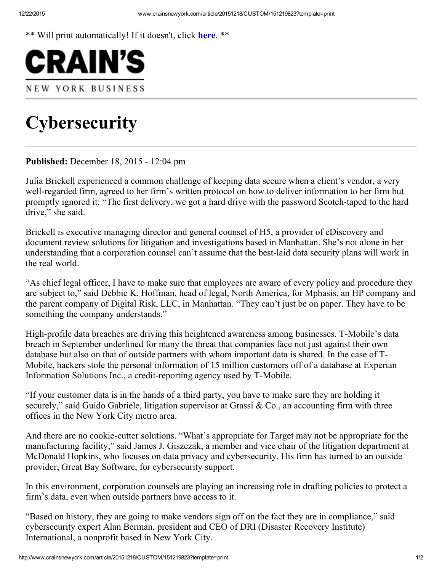\*\* Will print automatically! If it doesn't, click here. \*\*



## **Cybersecurity**

Published: December 18, 2015 - 12:04 pm

Julia Brickell experienced a common challenge of keeping data secure when a client's vendor, a very well-regarded firm, agreed to her firm's written protocol on how to deliver information to her firm but promptly ignored it: "The first delivery, we got a hard drive with the password Scotch-taped to the hard drive," she said.

Brickell is executive managing director and general counsel of H5, a provider of eDiscovery and document review solutions for litigation and investigations based in Manhattan. She's not alone in her understanding that a corporation counsel can't assume that the best-laid data security plans will work in the real world.

"As chief legal officer, I have to make sure that employees are aware of every policy and procedure they are subject to," said Debbie K. Hoffman, head of legal, North America, for Mphasis, an HP company and the parent company of Digital Risk, LLC, in Manhattan. "They can't just be on paper. They have to be something the company understands."

High-profile data breaches are driving this heightened awareness among businesses. T-Mobile's data breach in September underlined for many the threat that companies face not just against their own database but also on that of outside partners with whom important data is shared. In the case of T-Mobile, hackers stole the personal information of 15 million customers off of a database at Experian Information Solutions Inc., a credit-reporting agency used by T-Mobile.

"If your customer data is in the hands of a third party, you have to make sure they are holding it securely," said Guido Gabriele, litigation supervisor at Grassi & Co., an accounting firm with three offices in the New York City metro area.

And there are no cookie-cutter solutions. "What's appropriate for Target may not be appropriate for the manufacturing facility," said James J. Giszczak, a member and vice chair of the litigation department at McDonald Hopkins, who focuses on data privacy and cybersecurity. His firm has turned to an outside provider, Great Bay Software, for cybersecurity support.

In this environment, corporation counsels are playing an increasing role in drafting policies to protect a firm's data, even when outside partners have access to it.

"Based on history, they are going to make vendors sign off on the fact they are in compliance," said cybersecurity expert Alan Berman, president and CEO of DRI (Disaster Recovery Institute) International, a nonprofit based in New York City.